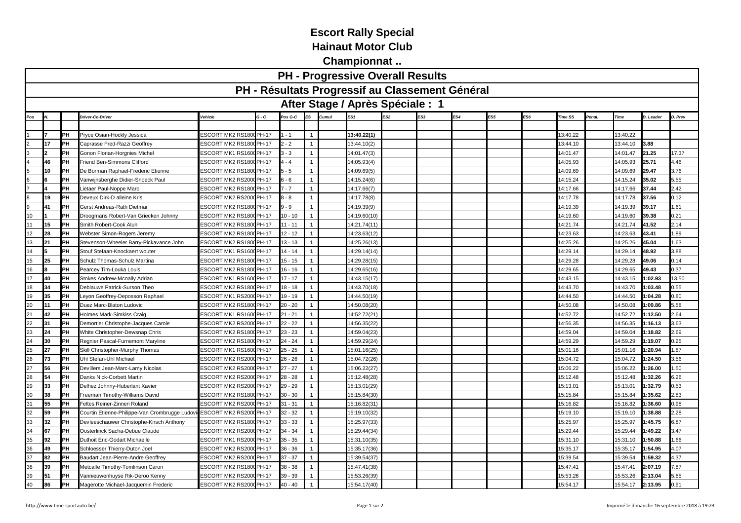## **Escort Rally Special**

**Hainaut Motor Club**

**Championnat ..**

|                                  |                                                                                                                                                                                                |                                                                                                                                                                                                                                                                                                                                                                                                                                                                                                                                                                                                                                                                                                                                                                                                                                                                                                                                                                                                      |                                                                                                                                                                                                                                                                                                                |                                                                                                                                                                                                                                                                                                                                                                                                                                                                                                                                                                                                                                                                                                                                                                                                                                             |                                                                                                                                                                                                                                                                                                                                                                                               |                                                                                                                                                                                                | <b>PH - Progressive Overall Results</b> |                                                                                                                                                                                                                                                                                                                                                                                                                                                                              |     |     |     |     |          |                                                                                                                                                                                                                                                                                                                                                         |          |                                                                                                                                                                                                                                                                                                                               |                                                                                                                                                                                                                                                                                                                |  |  |  |
|----------------------------------|------------------------------------------------------------------------------------------------------------------------------------------------------------------------------------------------|------------------------------------------------------------------------------------------------------------------------------------------------------------------------------------------------------------------------------------------------------------------------------------------------------------------------------------------------------------------------------------------------------------------------------------------------------------------------------------------------------------------------------------------------------------------------------------------------------------------------------------------------------------------------------------------------------------------------------------------------------------------------------------------------------------------------------------------------------------------------------------------------------------------------------------------------------------------------------------------------------|----------------------------------------------------------------------------------------------------------------------------------------------------------------------------------------------------------------------------------------------------------------------------------------------------------------|---------------------------------------------------------------------------------------------------------------------------------------------------------------------------------------------------------------------------------------------------------------------------------------------------------------------------------------------------------------------------------------------------------------------------------------------------------------------------------------------------------------------------------------------------------------------------------------------------------------------------------------------------------------------------------------------------------------------------------------------------------------------------------------------------------------------------------------------|-----------------------------------------------------------------------------------------------------------------------------------------------------------------------------------------------------------------------------------------------------------------------------------------------------------------------------------------------------------------------------------------------|------------------------------------------------------------------------------------------------------------------------------------------------------------------------------------------------|-----------------------------------------|------------------------------------------------------------------------------------------------------------------------------------------------------------------------------------------------------------------------------------------------------------------------------------------------------------------------------------------------------------------------------------------------------------------------------------------------------------------------------|-----|-----|-----|-----|----------|---------------------------------------------------------------------------------------------------------------------------------------------------------------------------------------------------------------------------------------------------------------------------------------------------------------------------------------------------------|----------|-------------------------------------------------------------------------------------------------------------------------------------------------------------------------------------------------------------------------------------------------------------------------------------------------------------------------------|----------------------------------------------------------------------------------------------------------------------------------------------------------------------------------------------------------------------------------------------------------------------------------------------------------------|--|--|--|
|                                  |                                                                                                                                                                                                | PH - Résultats Progressif au Classement Général                                                                                                                                                                                                                                                                                                                                                                                                                                                                                                                                                                                                                                                                                                                                                                                                                                                                                                                                                      |                                                                                                                                                                                                                                                                                                                |                                                                                                                                                                                                                                                                                                                                                                                                                                                                                                                                                                                                                                                                                                                                                                                                                                             |                                                                                                                                                                                                                                                                                                                                                                                               |                                                                                                                                                                                                |                                         |                                                                                                                                                                                                                                                                                                                                                                                                                                                                              |     |     |     |     |          |                                                                                                                                                                                                                                                                                                                                                         |          |                                                                                                                                                                                                                                                                                                                               |                                                                                                                                                                                                                                                                                                                |  |  |  |
| After Stage / Après Spéciale : 1 |                                                                                                                                                                                                |                                                                                                                                                                                                                                                                                                                                                                                                                                                                                                                                                                                                                                                                                                                                                                                                                                                                                                                                                                                                      |                                                                                                                                                                                                                                                                                                                |                                                                                                                                                                                                                                                                                                                                                                                                                                                                                                                                                                                                                                                                                                                                                                                                                                             |                                                                                                                                                                                                                                                                                                                                                                                               |                                                                                                                                                                                                |                                         |                                                                                                                                                                                                                                                                                                                                                                                                                                                                              |     |     |     |     |          |                                                                                                                                                                                                                                                                                                                                                         |          |                                                                                                                                                                                                                                                                                                                               |                                                                                                                                                                                                                                                                                                                |  |  |  |
|                                  | Driver-Co-Driver                                                                                                                                                                               | Vehicle                                                                                                                                                                                                                                                                                                                                                                                                                                                                                                                                                                                                                                                                                                                                                                                                                                                                                                                                                                                              | G - C                                                                                                                                                                                                                                                                                                          | Pos G-C                                                                                                                                                                                                                                                                                                                                                                                                                                                                                                                                                                                                                                                                                                                                                                                                                                     |                                                                                                                                                                                                                                                                                                                                                                                               | Cumul                                                                                                                                                                                          |                                         |                                                                                                                                                                                                                                                                                                                                                                                                                                                                              | ES3 | ES4 | ES5 | ES6 | Time SS  | Penal.                                                                                                                                                                                                                                                                                                                                                  | Time     | D. Leader                                                                                                                                                                                                                                                                                                                     | D. Prev                                                                                                                                                                                                                                                                                                        |  |  |  |
|                                  |                                                                                                                                                                                                |                                                                                                                                                                                                                                                                                                                                                                                                                                                                                                                                                                                                                                                                                                                                                                                                                                                                                                                                                                                                      |                                                                                                                                                                                                                                                                                                                |                                                                                                                                                                                                                                                                                                                                                                                                                                                                                                                                                                                                                                                                                                                                                                                                                                             |                                                                                                                                                                                                                                                                                                                                                                                               |                                                                                                                                                                                                |                                         |                                                                                                                                                                                                                                                                                                                                                                                                                                                                              |     |     |     |     |          |                                                                                                                                                                                                                                                                                                                                                         |          |                                                                                                                                                                                                                                                                                                                               |                                                                                                                                                                                                                                                                                                                |  |  |  |
| PH                               | Pryce Osian-Hockly Jessica                                                                                                                                                                     |                                                                                                                                                                                                                                                                                                                                                                                                                                                                                                                                                                                                                                                                                                                                                                                                                                                                                                                                                                                                      |                                                                                                                                                                                                                                                                                                                | $-1$                                                                                                                                                                                                                                                                                                                                                                                                                                                                                                                                                                                                                                                                                                                                                                                                                                        | $\overline{1}$                                                                                                                                                                                                                                                                                                                                                                                |                                                                                                                                                                                                | 13:40.22(1)                             |                                                                                                                                                                                                                                                                                                                                                                                                                                                                              |     |     |     |     | 13:40.22 |                                                                                                                                                                                                                                                                                                                                                         | 13:40.22 |                                                                                                                                                                                                                                                                                                                               |                                                                                                                                                                                                                                                                                                                |  |  |  |
| PH                               | Caprasse Fred-Razzi Geoffrey                                                                                                                                                                   | <b>ESCORT MK2 RS1800</b>                                                                                                                                                                                                                                                                                                                                                                                                                                                                                                                                                                                                                                                                                                                                                                                                                                                                                                                                                                             | <b>PH-17</b>                                                                                                                                                                                                                                                                                                   | $-2$                                                                                                                                                                                                                                                                                                                                                                                                                                                                                                                                                                                                                                                                                                                                                                                                                                        | 1                                                                                                                                                                                                                                                                                                                                                                                             |                                                                                                                                                                                                | 13:44.10(2)                             |                                                                                                                                                                                                                                                                                                                                                                                                                                                                              |     |     |     |     | 13:44.10 |                                                                                                                                                                                                                                                                                                                                                         | 3:44.10  | 3.88                                                                                                                                                                                                                                                                                                                          |                                                                                                                                                                                                                                                                                                                |  |  |  |
| PH                               | <b>3onon Florian-Horgnies Michel</b>                                                                                                                                                           | <b>ESCORT MK1 RS1600</b>                                                                                                                                                                                                                                                                                                                                                                                                                                                                                                                                                                                                                                                                                                                                                                                                                                                                                                                                                                             | <b>PH-17</b>                                                                                                                                                                                                                                                                                                   | $-3$                                                                                                                                                                                                                                                                                                                                                                                                                                                                                                                                                                                                                                                                                                                                                                                                                                        | 1                                                                                                                                                                                                                                                                                                                                                                                             |                                                                                                                                                                                                | 14:01.47(3)                             |                                                                                                                                                                                                                                                                                                                                                                                                                                                                              |     |     |     |     | 14:01.47 |                                                                                                                                                                                                                                                                                                                                                         | 4:01.47  | 21.25                                                                                                                                                                                                                                                                                                                         | 17.37                                                                                                                                                                                                                                                                                                          |  |  |  |
| PH                               | Friend Ben-Simmons Clifford                                                                                                                                                                    |                                                                                                                                                                                                                                                                                                                                                                                                                                                                                                                                                                                                                                                                                                                                                                                                                                                                                                                                                                                                      |                                                                                                                                                                                                                                                                                                                | $-4$                                                                                                                                                                                                                                                                                                                                                                                                                                                                                                                                                                                                                                                                                                                                                                                                                                        | $\overline{1}$                                                                                                                                                                                                                                                                                                                                                                                |                                                                                                                                                                                                | 14:05.93(4)                             |                                                                                                                                                                                                                                                                                                                                                                                                                                                                              |     |     |     |     | 14:05.93 |                                                                                                                                                                                                                                                                                                                                                         | 4:05.93  | 25.71                                                                                                                                                                                                                                                                                                                         | 4.46                                                                                                                                                                                                                                                                                                           |  |  |  |
| PH                               | De Borman Raphael-Frederic Etienne                                                                                                                                                             | <b>ESCORT MK2 RS1800</b>                                                                                                                                                                                                                                                                                                                                                                                                                                                                                                                                                                                                                                                                                                                                                                                                                                                                                                                                                                             | PH-17                                                                                                                                                                                                                                                                                                          | $-5$                                                                                                                                                                                                                                                                                                                                                                                                                                                                                                                                                                                                                                                                                                                                                                                                                                        | -1                                                                                                                                                                                                                                                                                                                                                                                            |                                                                                                                                                                                                | 14:09.69(5)                             |                                                                                                                                                                                                                                                                                                                                                                                                                                                                              |     |     |     |     | 14:09.69 |                                                                                                                                                                                                                                                                                                                                                         | 4:09.69  | 29.47                                                                                                                                                                                                                                                                                                                         | 3.76                                                                                                                                                                                                                                                                                                           |  |  |  |
| PH                               | /anwijnsberghe Didier-Snoeck Paul                                                                                                                                                              | ESCORT MK2 RS200                                                                                                                                                                                                                                                                                                                                                                                                                                                                                                                                                                                                                                                                                                                                                                                                                                                                                                                                                                                     | PH-17                                                                                                                                                                                                                                                                                                          | $-6$                                                                                                                                                                                                                                                                                                                                                                                                                                                                                                                                                                                                                                                                                                                                                                                                                                        | -1                                                                                                                                                                                                                                                                                                                                                                                            |                                                                                                                                                                                                | 14:15.24(6)                             |                                                                                                                                                                                                                                                                                                                                                                                                                                                                              |     |     |     |     | 14:15.24 |                                                                                                                                                                                                                                                                                                                                                         | 4:15.24  | 35.02                                                                                                                                                                                                                                                                                                                         | 5.55                                                                                                                                                                                                                                                                                                           |  |  |  |
| PH                               | ietaer Paul-Noppe Marc                                                                                                                                                                         | <b>ESCORT MK2 RS180</b>                                                                                                                                                                                                                                                                                                                                                                                                                                                                                                                                                                                                                                                                                                                                                                                                                                                                                                                                                                              | PH-17                                                                                                                                                                                                                                                                                                          | $-7$                                                                                                                                                                                                                                                                                                                                                                                                                                                                                                                                                                                                                                                                                                                                                                                                                                        | 1                                                                                                                                                                                                                                                                                                                                                                                             |                                                                                                                                                                                                | 14:17.66(7)                             |                                                                                                                                                                                                                                                                                                                                                                                                                                                                              |     |     |     |     | 14:17.66 |                                                                                                                                                                                                                                                                                                                                                         | 4:17.66  | 37.44                                                                                                                                                                                                                                                                                                                         | 2.42                                                                                                                                                                                                                                                                                                           |  |  |  |
| PH                               | Deveux Dirk-D alleine Kris                                                                                                                                                                     | <b>ESCORT MK2 RS2000</b>                                                                                                                                                                                                                                                                                                                                                                                                                                                                                                                                                                                                                                                                                                                                                                                                                                                                                                                                                                             | <b>PH-17</b>                                                                                                                                                                                                                                                                                                   | $-8$                                                                                                                                                                                                                                                                                                                                                                                                                                                                                                                                                                                                                                                                                                                                                                                                                                        | $\overline{1}$                                                                                                                                                                                                                                                                                                                                                                                |                                                                                                                                                                                                | 14:17.78(8)                             |                                                                                                                                                                                                                                                                                                                                                                                                                                                                              |     |     |     |     | 14:17.78 |                                                                                                                                                                                                                                                                                                                                                         | 4:17.78  | 37.56                                                                                                                                                                                                                                                                                                                         | .12                                                                                                                                                                                                                                                                                                            |  |  |  |
|                                  | <b>Gerst Andreas-Rath Dietmar</b>                                                                                                                                                              | <b>ESCORT MK2 RS180</b>                                                                                                                                                                                                                                                                                                                                                                                                                                                                                                                                                                                                                                                                                                                                                                                                                                                                                                                                                                              | PH-17                                                                                                                                                                                                                                                                                                          |                                                                                                                                                                                                                                                                                                                                                                                                                                                                                                                                                                                                                                                                                                                                                                                                                                             |                                                                                                                                                                                                                                                                                                                                                                                               |                                                                                                                                                                                                | 14:19.39(9)                             |                                                                                                                                                                                                                                                                                                                                                                                                                                                                              |     |     |     |     | 4:19.39  |                                                                                                                                                                                                                                                                                                                                                         | 4:19.39  | 39.17                                                                                                                                                                                                                                                                                                                         | .61                                                                                                                                                                                                                                                                                                            |  |  |  |
|                                  | Droogmans Robert-Van Griecken Johnny                                                                                                                                                           |                                                                                                                                                                                                                                                                                                                                                                                                                                                                                                                                                                                                                                                                                                                                                                                                                                                                                                                                                                                                      |                                                                                                                                                                                                                                                                                                                |                                                                                                                                                                                                                                                                                                                                                                                                                                                                                                                                                                                                                                                                                                                                                                                                                                             | 1                                                                                                                                                                                                                                                                                                                                                                                             |                                                                                                                                                                                                | 14:19.60(10)                            |                                                                                                                                                                                                                                                                                                                                                                                                                                                                              |     |     |     |     | 4:19.60  |                                                                                                                                                                                                                                                                                                                                                         | 4:19.60  |                                                                                                                                                                                                                                                                                                                               | .21                                                                                                                                                                                                                                                                                                            |  |  |  |
|                                  | Smith Robert-Cook Alun                                                                                                                                                                         |                                                                                                                                                                                                                                                                                                                                                                                                                                                                                                                                                                                                                                                                                                                                                                                                                                                                                                                                                                                                      |                                                                                                                                                                                                                                                                                                                | 11 - 11                                                                                                                                                                                                                                                                                                                                                                                                                                                                                                                                                                                                                                                                                                                                                                                                                                     | -1                                                                                                                                                                                                                                                                                                                                                                                            |                                                                                                                                                                                                | 14:21.74(11)                            |                                                                                                                                                                                                                                                                                                                                                                                                                                                                              |     |     |     |     | 14:21.74 |                                                                                                                                                                                                                                                                                                                                                         | 4:21.74  |                                                                                                                                                                                                                                                                                                                               | 2.14                                                                                                                                                                                                                                                                                                           |  |  |  |
|                                  | Webster Simon-Rogers Jeremy                                                                                                                                                                    |                                                                                                                                                                                                                                                                                                                                                                                                                                                                                                                                                                                                                                                                                                                                                                                                                                                                                                                                                                                                      |                                                                                                                                                                                                                                                                                                                |                                                                                                                                                                                                                                                                                                                                                                                                                                                                                                                                                                                                                                                                                                                                                                                                                                             |                                                                                                                                                                                                                                                                                                                                                                                               |                                                                                                                                                                                                |                                         |                                                                                                                                                                                                                                                                                                                                                                                                                                                                              |     |     |     |     |          |                                                                                                                                                                                                                                                                                                                                                         |          |                                                                                                                                                                                                                                                                                                                               | .89                                                                                                                                                                                                                                                                                                            |  |  |  |
|                                  |                                                                                                                                                                                                |                                                                                                                                                                                                                                                                                                                                                                                                                                                                                                                                                                                                                                                                                                                                                                                                                                                                                                                                                                                                      |                                                                                                                                                                                                                                                                                                                |                                                                                                                                                                                                                                                                                                                                                                                                                                                                                                                                                                                                                                                                                                                                                                                                                                             |                                                                                                                                                                                                                                                                                                                                                                                               |                                                                                                                                                                                                |                                         |                                                                                                                                                                                                                                                                                                                                                                                                                                                                              |     |     |     |     |          |                                                                                                                                                                                                                                                                                                                                                         |          |                                                                                                                                                                                                                                                                                                                               | 1.63                                                                                                                                                                                                                                                                                                           |  |  |  |
|                                  |                                                                                                                                                                                                |                                                                                                                                                                                                                                                                                                                                                                                                                                                                                                                                                                                                                                                                                                                                                                                                                                                                                                                                                                                                      |                                                                                                                                                                                                                                                                                                                |                                                                                                                                                                                                                                                                                                                                                                                                                                                                                                                                                                                                                                                                                                                                                                                                                                             |                                                                                                                                                                                                                                                                                                                                                                                               |                                                                                                                                                                                                |                                         |                                                                                                                                                                                                                                                                                                                                                                                                                                                                              |     |     |     |     |          |                                                                                                                                                                                                                                                                                                                                                         |          |                                                                                                                                                                                                                                                                                                                               | 3.88                                                                                                                                                                                                                                                                                                           |  |  |  |
|                                  |                                                                                                                                                                                                |                                                                                                                                                                                                                                                                                                                                                                                                                                                                                                                                                                                                                                                                                                                                                                                                                                                                                                                                                                                                      |                                                                                                                                                                                                                                                                                                                |                                                                                                                                                                                                                                                                                                                                                                                                                                                                                                                                                                                                                                                                                                                                                                                                                                             |                                                                                                                                                                                                                                                                                                                                                                                               |                                                                                                                                                                                                |                                         |                                                                                                                                                                                                                                                                                                                                                                                                                                                                              |     |     |     |     |          |                                                                                                                                                                                                                                                                                                                                                         |          |                                                                                                                                                                                                                                                                                                                               | .14                                                                                                                                                                                                                                                                                                            |  |  |  |
|                                  |                                                                                                                                                                                                |                                                                                                                                                                                                                                                                                                                                                                                                                                                                                                                                                                                                                                                                                                                                                                                                                                                                                                                                                                                                      |                                                                                                                                                                                                                                                                                                                |                                                                                                                                                                                                                                                                                                                                                                                                                                                                                                                                                                                                                                                                                                                                                                                                                                             |                                                                                                                                                                                                                                                                                                                                                                                               |                                                                                                                                                                                                |                                         |                                                                                                                                                                                                                                                                                                                                                                                                                                                                              |     |     |     |     |          |                                                                                                                                                                                                                                                                                                                                                         |          |                                                                                                                                                                                                                                                                                                                               | .37                                                                                                                                                                                                                                                                                                            |  |  |  |
|                                  |                                                                                                                                                                                                |                                                                                                                                                                                                                                                                                                                                                                                                                                                                                                                                                                                                                                                                                                                                                                                                                                                                                                                                                                                                      |                                                                                                                                                                                                                                                                                                                |                                                                                                                                                                                                                                                                                                                                                                                                                                                                                                                                                                                                                                                                                                                                                                                                                                             |                                                                                                                                                                                                                                                                                                                                                                                               |                                                                                                                                                                                                |                                         |                                                                                                                                                                                                                                                                                                                                                                                                                                                                              |     |     |     |     |          |                                                                                                                                                                                                                                                                                                                                                         |          |                                                                                                                                                                                                                                                                                                                               | 3.50                                                                                                                                                                                                                                                                                                           |  |  |  |
|                                  |                                                                                                                                                                                                |                                                                                                                                                                                                                                                                                                                                                                                                                                                                                                                                                                                                                                                                                                                                                                                                                                                                                                                                                                                                      |                                                                                                                                                                                                                                                                                                                |                                                                                                                                                                                                                                                                                                                                                                                                                                                                                                                                                                                                                                                                                                                                                                                                                                             |                                                                                                                                                                                                                                                                                                                                                                                               |                                                                                                                                                                                                |                                         |                                                                                                                                                                                                                                                                                                                                                                                                                                                                              |     |     |     |     |          |                                                                                                                                                                                                                                                                                                                                                         |          |                                                                                                                                                                                                                                                                                                                               | .55                                                                                                                                                                                                                                                                                                            |  |  |  |
|                                  |                                                                                                                                                                                                |                                                                                                                                                                                                                                                                                                                                                                                                                                                                                                                                                                                                                                                                                                                                                                                                                                                                                                                                                                                                      |                                                                                                                                                                                                                                                                                                                |                                                                                                                                                                                                                                                                                                                                                                                                                                                                                                                                                                                                                                                                                                                                                                                                                                             |                                                                                                                                                                                                                                                                                                                                                                                               |                                                                                                                                                                                                |                                         |                                                                                                                                                                                                                                                                                                                                                                                                                                                                              |     |     |     |     |          |                                                                                                                                                                                                                                                                                                                                                         |          |                                                                                                                                                                                                                                                                                                                               | 0.80                                                                                                                                                                                                                                                                                                           |  |  |  |
|                                  |                                                                                                                                                                                                |                                                                                                                                                                                                                                                                                                                                                                                                                                                                                                                                                                                                                                                                                                                                                                                                                                                                                                                                                                                                      |                                                                                                                                                                                                                                                                                                                |                                                                                                                                                                                                                                                                                                                                                                                                                                                                                                                                                                                                                                                                                                                                                                                                                                             |                                                                                                                                                                                                                                                                                                                                                                                               |                                                                                                                                                                                                |                                         |                                                                                                                                                                                                                                                                                                                                                                                                                                                                              |     |     |     |     |          |                                                                                                                                                                                                                                                                                                                                                         |          |                                                                                                                                                                                                                                                                                                                               | 5.58                                                                                                                                                                                                                                                                                                           |  |  |  |
|                                  |                                                                                                                                                                                                |                                                                                                                                                                                                                                                                                                                                                                                                                                                                                                                                                                                                                                                                                                                                                                                                                                                                                                                                                                                                      |                                                                                                                                                                                                                                                                                                                |                                                                                                                                                                                                                                                                                                                                                                                                                                                                                                                                                                                                                                                                                                                                                                                                                                             |                                                                                                                                                                                                                                                                                                                                                                                               |                                                                                                                                                                                                |                                         |                                                                                                                                                                                                                                                                                                                                                                                                                                                                              |     |     |     |     |          |                                                                                                                                                                                                                                                                                                                                                         |          |                                                                                                                                                                                                                                                                                                                               | .64                                                                                                                                                                                                                                                                                                            |  |  |  |
|                                  |                                                                                                                                                                                                |                                                                                                                                                                                                                                                                                                                                                                                                                                                                                                                                                                                                                                                                                                                                                                                                                                                                                                                                                                                                      |                                                                                                                                                                                                                                                                                                                |                                                                                                                                                                                                                                                                                                                                                                                                                                                                                                                                                                                                                                                                                                                                                                                                                                             |                                                                                                                                                                                                                                                                                                                                                                                               |                                                                                                                                                                                                |                                         |                                                                                                                                                                                                                                                                                                                                                                                                                                                                              |     |     |     |     |          |                                                                                                                                                                                                                                                                                                                                                         |          |                                                                                                                                                                                                                                                                                                                               | 3.63                                                                                                                                                                                                                                                                                                           |  |  |  |
|                                  |                                                                                                                                                                                                |                                                                                                                                                                                                                                                                                                                                                                                                                                                                                                                                                                                                                                                                                                                                                                                                                                                                                                                                                                                                      |                                                                                                                                                                                                                                                                                                                |                                                                                                                                                                                                                                                                                                                                                                                                                                                                                                                                                                                                                                                                                                                                                                                                                                             |                                                                                                                                                                                                                                                                                                                                                                                               |                                                                                                                                                                                                |                                         |                                                                                                                                                                                                                                                                                                                                                                                                                                                                              |     |     |     |     |          |                                                                                                                                                                                                                                                                                                                                                         |          |                                                                                                                                                                                                                                                                                                                               | 2.69                                                                                                                                                                                                                                                                                                           |  |  |  |
|                                  |                                                                                                                                                                                                |                                                                                                                                                                                                                                                                                                                                                                                                                                                                                                                                                                                                                                                                                                                                                                                                                                                                                                                                                                                                      |                                                                                                                                                                                                                                                                                                                |                                                                                                                                                                                                                                                                                                                                                                                                                                                                                                                                                                                                                                                                                                                                                                                                                                             |                                                                                                                                                                                                                                                                                                                                                                                               |                                                                                                                                                                                                |                                         |                                                                                                                                                                                                                                                                                                                                                                                                                                                                              |     |     |     |     |          |                                                                                                                                                                                                                                                                                                                                                         |          |                                                                                                                                                                                                                                                                                                                               | .25                                                                                                                                                                                                                                                                                                            |  |  |  |
|                                  |                                                                                                                                                                                                |                                                                                                                                                                                                                                                                                                                                                                                                                                                                                                                                                                                                                                                                                                                                                                                                                                                                                                                                                                                                      |                                                                                                                                                                                                                                                                                                                |                                                                                                                                                                                                                                                                                                                                                                                                                                                                                                                                                                                                                                                                                                                                                                                                                                             |                                                                                                                                                                                                                                                                                                                                                                                               |                                                                                                                                                                                                |                                         |                                                                                                                                                                                                                                                                                                                                                                                                                                                                              |     |     |     |     |          |                                                                                                                                                                                                                                                                                                                                                         |          |                                                                                                                                                                                                                                                                                                                               | .87                                                                                                                                                                                                                                                                                                            |  |  |  |
|                                  |                                                                                                                                                                                                |                                                                                                                                                                                                                                                                                                                                                                                                                                                                                                                                                                                                                                                                                                                                                                                                                                                                                                                                                                                                      |                                                                                                                                                                                                                                                                                                                |                                                                                                                                                                                                                                                                                                                                                                                                                                                                                                                                                                                                                                                                                                                                                                                                                                             |                                                                                                                                                                                                                                                                                                                                                                                               |                                                                                                                                                                                                |                                         |                                                                                                                                                                                                                                                                                                                                                                                                                                                                              |     |     |     |     |          |                                                                                                                                                                                                                                                                                                                                                         |          |                                                                                                                                                                                                                                                                                                                               | 3.56                                                                                                                                                                                                                                                                                                           |  |  |  |
|                                  |                                                                                                                                                                                                |                                                                                                                                                                                                                                                                                                                                                                                                                                                                                                                                                                                                                                                                                                                                                                                                                                                                                                                                                                                                      |                                                                                                                                                                                                                                                                                                                |                                                                                                                                                                                                                                                                                                                                                                                                                                                                                                                                                                                                                                                                                                                                                                                                                                             |                                                                                                                                                                                                                                                                                                                                                                                               |                                                                                                                                                                                                |                                         |                                                                                                                                                                                                                                                                                                                                                                                                                                                                              |     |     |     |     |          |                                                                                                                                                                                                                                                                                                                                                         |          |                                                                                                                                                                                                                                                                                                                               | .50                                                                                                                                                                                                                                                                                                            |  |  |  |
|                                  |                                                                                                                                                                                                |                                                                                                                                                                                                                                                                                                                                                                                                                                                                                                                                                                                                                                                                                                                                                                                                                                                                                                                                                                                                      |                                                                                                                                                                                                                                                                                                                |                                                                                                                                                                                                                                                                                                                                                                                                                                                                                                                                                                                                                                                                                                                                                                                                                                             |                                                                                                                                                                                                                                                                                                                                                                                               |                                                                                                                                                                                                |                                         |                                                                                                                                                                                                                                                                                                                                                                                                                                                                              |     |     |     |     |          |                                                                                                                                                                                                                                                                                                                                                         |          |                                                                                                                                                                                                                                                                                                                               | .26                                                                                                                                                                                                                                                                                                            |  |  |  |
|                                  |                                                                                                                                                                                                |                                                                                                                                                                                                                                                                                                                                                                                                                                                                                                                                                                                                                                                                                                                                                                                                                                                                                                                                                                                                      |                                                                                                                                                                                                                                                                                                                |                                                                                                                                                                                                                                                                                                                                                                                                                                                                                                                                                                                                                                                                                                                                                                                                                                             |                                                                                                                                                                                                                                                                                                                                                                                               |                                                                                                                                                                                                |                                         |                                                                                                                                                                                                                                                                                                                                                                                                                                                                              |     |     |     |     |          |                                                                                                                                                                                                                                                                                                                                                         |          |                                                                                                                                                                                                                                                                                                                               | .53<br>2.83                                                                                                                                                                                                                                                                                                    |  |  |  |
|                                  |                                                                                                                                                                                                |                                                                                                                                                                                                                                                                                                                                                                                                                                                                                                                                                                                                                                                                                                                                                                                                                                                                                                                                                                                                      |                                                                                                                                                                                                                                                                                                                |                                                                                                                                                                                                                                                                                                                                                                                                                                                                                                                                                                                                                                                                                                                                                                                                                                             |                                                                                                                                                                                                                                                                                                                                                                                               |                                                                                                                                                                                                |                                         |                                                                                                                                                                                                                                                                                                                                                                                                                                                                              |     |     |     |     |          |                                                                                                                                                                                                                                                                                                                                                         |          |                                                                                                                                                                                                                                                                                                                               | 0.98                                                                                                                                                                                                                                                                                                           |  |  |  |
|                                  |                                                                                                                                                                                                |                                                                                                                                                                                                                                                                                                                                                                                                                                                                                                                                                                                                                                                                                                                                                                                                                                                                                                                                                                                                      |                                                                                                                                                                                                                                                                                                                |                                                                                                                                                                                                                                                                                                                                                                                                                                                                                                                                                                                                                                                                                                                                                                                                                                             |                                                                                                                                                                                                                                                                                                                                                                                               |                                                                                                                                                                                                |                                         |                                                                                                                                                                                                                                                                                                                                                                                                                                                                              |     |     |     |     |          |                                                                                                                                                                                                                                                                                                                                                         |          |                                                                                                                                                                                                                                                                                                                               |                                                                                                                                                                                                                                                                                                                |  |  |  |
|                                  |                                                                                                                                                                                                |                                                                                                                                                                                                                                                                                                                                                                                                                                                                                                                                                                                                                                                                                                                                                                                                                                                                                                                                                                                                      |                                                                                                                                                                                                                                                                                                                |                                                                                                                                                                                                                                                                                                                                                                                                                                                                                                                                                                                                                                                                                                                                                                                                                                             |                                                                                                                                                                                                                                                                                                                                                                                               |                                                                                                                                                                                                |                                         |                                                                                                                                                                                                                                                                                                                                                                                                                                                                              |     |     |     |     |          |                                                                                                                                                                                                                                                                                                                                                         |          |                                                                                                                                                                                                                                                                                                                               | 2.28<br>.87                                                                                                                                                                                                                                                                                                    |  |  |  |
|                                  |                                                                                                                                                                                                |                                                                                                                                                                                                                                                                                                                                                                                                                                                                                                                                                                                                                                                                                                                                                                                                                                                                                                                                                                                                      |                                                                                                                                                                                                                                                                                                                |                                                                                                                                                                                                                                                                                                                                                                                                                                                                                                                                                                                                                                                                                                                                                                                                                                             |                                                                                                                                                                                                                                                                                                                                                                                               |                                                                                                                                                                                                |                                         |                                                                                                                                                                                                                                                                                                                                                                                                                                                                              |     |     |     |     |          |                                                                                                                                                                                                                                                                                                                                                         |          |                                                                                                                                                                                                                                                                                                                               | 3.47                                                                                                                                                                                                                                                                                                           |  |  |  |
|                                  |                                                                                                                                                                                                |                                                                                                                                                                                                                                                                                                                                                                                                                                                                                                                                                                                                                                                                                                                                                                                                                                                                                                                                                                                                      |                                                                                                                                                                                                                                                                                                                |                                                                                                                                                                                                                                                                                                                                                                                                                                                                                                                                                                                                                                                                                                                                                                                                                                             |                                                                                                                                                                                                                                                                                                                                                                                               |                                                                                                                                                                                                |                                         |                                                                                                                                                                                                                                                                                                                                                                                                                                                                              |     |     |     |     |          |                                                                                                                                                                                                                                                                                                                                                         |          |                                                                                                                                                                                                                                                                                                                               | .66                                                                                                                                                                                                                                                                                                            |  |  |  |
|                                  |                                                                                                                                                                                                |                                                                                                                                                                                                                                                                                                                                                                                                                                                                                                                                                                                                                                                                                                                                                                                                                                                                                                                                                                                                      |                                                                                                                                                                                                                                                                                                                |                                                                                                                                                                                                                                                                                                                                                                                                                                                                                                                                                                                                                                                                                                                                                                                                                                             |                                                                                                                                                                                                                                                                                                                                                                                               |                                                                                                                                                                                                |                                         |                                                                                                                                                                                                                                                                                                                                                                                                                                                                              |     |     |     |     |          |                                                                                                                                                                                                                                                                                                                                                         |          |                                                                                                                                                                                                                                                                                                                               | .07                                                                                                                                                                                                                                                                                                            |  |  |  |
|                                  |                                                                                                                                                                                                |                                                                                                                                                                                                                                                                                                                                                                                                                                                                                                                                                                                                                                                                                                                                                                                                                                                                                                                                                                                                      |                                                                                                                                                                                                                                                                                                                |                                                                                                                                                                                                                                                                                                                                                                                                                                                                                                                                                                                                                                                                                                                                                                                                                                             |                                                                                                                                                                                                                                                                                                                                                                                               |                                                                                                                                                                                                |                                         |                                                                                                                                                                                                                                                                                                                                                                                                                                                                              |     |     |     |     |          |                                                                                                                                                                                                                                                                                                                                                         |          |                                                                                                                                                                                                                                                                                                                               | 4.37                                                                                                                                                                                                                                                                                                           |  |  |  |
|                                  |                                                                                                                                                                                                |                                                                                                                                                                                                                                                                                                                                                                                                                                                                                                                                                                                                                                                                                                                                                                                                                                                                                                                                                                                                      |                                                                                                                                                                                                                                                                                                                |                                                                                                                                                                                                                                                                                                                                                                                                                                                                                                                                                                                                                                                                                                                                                                                                                                             |                                                                                                                                                                                                                                                                                                                                                                                               |                                                                                                                                                                                                |                                         |                                                                                                                                                                                                                                                                                                                                                                                                                                                                              |     |     |     |     |          |                                                                                                                                                                                                                                                                                                                                                         |          |                                                                                                                                                                                                                                                                                                                               | 7.87                                                                                                                                                                                                                                                                                                           |  |  |  |
|                                  |                                                                                                                                                                                                |                                                                                                                                                                                                                                                                                                                                                                                                                                                                                                                                                                                                                                                                                                                                                                                                                                                                                                                                                                                                      |                                                                                                                                                                                                                                                                                                                |                                                                                                                                                                                                                                                                                                                                                                                                                                                                                                                                                                                                                                                                                                                                                                                                                                             |                                                                                                                                                                                                                                                                                                                                                                                               |                                                                                                                                                                                                |                                         |                                                                                                                                                                                                                                                                                                                                                                                                                                                                              |     |     |     |     |          |                                                                                                                                                                                                                                                                                                                                                         |          |                                                                                                                                                                                                                                                                                                                               | 5.85                                                                                                                                                                                                                                                                                                           |  |  |  |
|                                  |                                                                                                                                                                                                |                                                                                                                                                                                                                                                                                                                                                                                                                                                                                                                                                                                                                                                                                                                                                                                                                                                                                                                                                                                                      |                                                                                                                                                                                                                                                                                                                |                                                                                                                                                                                                                                                                                                                                                                                                                                                                                                                                                                                                                                                                                                                                                                                                                                             |                                                                                                                                                                                                                                                                                                                                                                                               |                                                                                                                                                                                                |                                         |                                                                                                                                                                                                                                                                                                                                                                                                                                                                              |     |     |     |     |          |                                                                                                                                                                                                                                                                                                                                                         |          |                                                                                                                                                                                                                                                                                                                               | .91                                                                                                                                                                                                                                                                                                            |  |  |  |
|                                  | PH<br>PH<br>PH<br>PH<br>PH<br>PH<br>lРH<br>PH<br>PH<br>PH<br>PH<br>PH<br>PH<br>PH<br>PH<br>PH<br>lРH<br>PH<br>PH<br>PH<br>PH<br>PH<br>PH<br>PH<br>PH<br>PH<br>PH<br>PH<br>PH<br>PH<br>PH<br>PH | Stevenson-Wheeler Barry-Pickavance John<br>Stouf Stefaan-Knockaert wouter<br>Schulz Thomas-Schulz Martina<br>Pearcey Tim-Louka Louis<br>Stokes Andrew-Mcnally Adrian<br>Deblauwe Patrick-Surson Theo<br>eyon Geoffrey-Deposson Raphael<br>Duez Marc-Blaton Ludovic<br>Holmes Mark-Simkiss Craig<br>Demortier Christophe-Jacques Carole<br>White Christopher-Dewsnap Chris<br>Regnier Pascal-Furnemont Maryline<br>Skill Christopher-Murphy Thomas<br>Jhl Stefan-Uhl Michael<br>Devillers Jean-Marc-Lamy Nicolas<br>Danks Nick-Corbett Martin<br>Delhez Johnny-Huberlant Xavier<br>reeman Timothy-Williams David<br>Feltes Reiner-Zinnen Roland<br>Courtin Etienne-Philippe-Van Crombrugge Ludov<br>Devleeschauwer Christophe-Kirsch Anthony<br>Oosterlinck Sacha-Debue Claude<br>Duthoit Eric-Godart Michaelle<br>Schloesser Thierry-Duton Joel<br>Baudart Jean-Pierre-Andre Geoffrey<br>Metcalfe Timothy-Tomlinson Caron<br>/annieuwenhuyse Rik-Deroo Kenny<br>Magerotte Michael-Jacquemin Frederic | <b>ESCORT MK2 RS1800</b><br><b>ESCORT MK2 RS180</b><br><b>ESCORT MK1 RS200</b><br><b>ESCORT MK2 RS200</b><br><b>ESCORT MK2 RS200</b><br>ESCORT MK2 RS2000<br><b>ESCORT MK2 RS200</b><br><b>ESCORT MK2 RS200</b><br>ESCORT MK2 RS2000<br><b>ESCORT MK2 RS200</b><br>ESCORT MK2 RS200<br><b>ESCORT MK2 RS180</b> | <b>ESCORT MK2 RS1800 PH-17</b><br><b>ESCORT MK2 RS1800 PH-17</b><br><b>ESCORT MK2 RS1800 PH-17</b><br>ESCORT MK2 RS1800 PH-17<br><b>PH-17</b><br>ESCORT MK2 RS1800 PH-17<br>ESCORT MK1 RS1600 PH-17<br>PH-17<br><b>ESCORT MK2 RS1800 PH-17</b><br><b>ESCORT MK1 RS1600 PH-17</b><br>ESCORT MK2 RS1800 PH-17<br><b>PH-17</b><br><b>ESCORT MK2 RS1800 PH-17</b><br><b>ESCORT MK1 RS1600 PH-17</b><br><b>PH-17</b><br><b>ESCORT MK2 RS1800 PH-17</b><br>ESCORT MK2 RS1800 PH-17<br>ESCORT MK1 RS1600 PH-17<br>PH-17<br>PH-17<br><b>PH-17</b><br><b>ESCORT MK2 RS2000 PH-17</b><br><b>ESCORT MK2 RS1800 PH-17</b><br><b>PH-17</b><br><b>PH-17</b><br>ESCORT MK2 RS1800 PH-17<br>PH-17<br>ESCORT MK1 RS2000 PH-17<br><b>ESCORT MK2 RS2000 PH-17</b><br>PH-17<br><b>PH-17</b><br><b>ESCORT MK2 RS2000 PH-17</b><br><b>ESCORT MK2 RS2000 PH-17</b> | - 9<br>$10 - 10$<br>$12 - 12$<br>$13 - 13$<br>$14 - 14$<br>$15 - 15$<br>$16 - 16$<br>$17 - 17$<br>18 - 18<br>19 - 19<br>$20 - 20$<br>$21 - 21$<br>$22 - 22$<br>$23 - 23$<br>$24 - 24$<br>$25 - 25$<br>$26 - 26$<br>$27 - 27$<br>$28 - 28$<br>$29 - 29$<br>$30 - 30$<br>$31 - 31$<br>$32 - 32$<br>$33 - 33$<br>$34 - 34$<br>$35 - 35$<br>36 - 36<br>37 - 37<br>$38 - 38$<br>39 - 39<br>40 - 40 | $\overline{1}$<br>$\overline{1}$<br>$\overline{1}$<br>$\overline{1}$<br>1<br>1<br>1<br>1<br>1<br>$\overline{1}$<br>1<br>1<br>1<br>1<br>1<br>1<br>$\overline{1}$<br>1<br>1<br>1<br>-1<br>1<br>1 |                                         | 14:23.63(12)<br>14:25.26(13)<br>14:29.14(14)<br>14:29.28(15)<br>14:29.65(16)<br>14:43.15(17)<br>14:43.70(18)<br>14:44.50(19)<br>14:50.08(20)<br>14:52.72(21)<br>14:56.35(22)<br>14:59.04(23)<br>14:59.29(24)<br>15:01.16(25)<br>15:04.72(26)<br>15:06.22(27)<br>15:12.48(28)<br>15:13.01(29)<br>15:15.84(30)<br>15:16.82(31)<br>15:19.10(32)<br>15:25.97(33)<br>15:29.44(34)<br>15:31.10(35)<br>15:35.17(36)<br>15:39.54(37)<br>15:47.41(38)<br>15:53.26(39)<br>15:54.17(40) |     |     |     |     |          | 14:23.63<br>14:25.26<br>14:29.14<br>14:29.28<br>4:29.65<br>14:43.15<br>14:43.70<br>14:44.50<br>14:50.08<br>14:52.72<br>14:56.35<br>14:59.04<br>14:59.29<br>15:01.16<br>15:04.72<br>15:06.22<br>15:12.48<br>15:13.01<br>15:15.84<br>15:16.82<br>15:19.10<br>15:25.97<br>15:29.44<br>15:31.10<br>15:35.17<br>15:39.54<br>15:47.41<br>15:53.26<br>15:54.17 |          | 4:23.63<br>4:25.26<br>4:29.14<br>4:29.28<br>4:29.65<br>4:43.15<br>4:43.70<br>4:44.50<br>4:50.08<br>4:52.72<br>4:56.35<br>4:59.04<br>4:59.29<br>5:01.16<br>5:04.72<br>15:06.22<br>5:12.48<br>5:13.01<br>5:15.84<br>5:16.82<br>15:19.10<br>5:25.97<br>5:29.44<br>5:31.10<br>5:35.17<br>5:39.54<br>5:47.41<br>5:53.26<br>5:54.17 | 39.38<br>41.52<br>43.41<br>45.04<br>48.92<br>49.06<br>49.43<br>:02.93<br>:03.48<br>:04.28<br>:09.86<br>:12.50<br>:16.13<br>:18.82<br>l:19.07<br>:20.94<br>:24.50<br>:26.00<br>:32.26<br>:32.79<br>:35.62<br>:36.60<br>:38.88<br>:45.75<br>:49.22<br>:50.88<br>:54.95<br>:59.32<br>:07.19<br>2:13.04<br>2:13.95 |  |  |  |